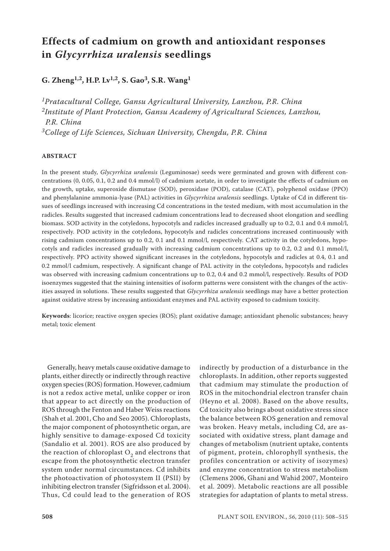# **Effects of cadmium on growth and antioxidant responses in** *Glycyrrhiza uralensis* **seedlings**

**G. Zheng1,2, H.P. Lv1,2, S. Gao3, S.R. Wang1**

*1Pratacultural College, Gansu Agricultural University, Lanzhou, P.R. China 2Institute of Plant Protection, Gansu Academy of Agricultural Sciences, Lanzhou, P.R. China 3College of Life Sciences, Sichuan University, Chengdu, P.R. China*

# **ABSTRACT**

In the present study, *Glycyrrhiza uralensis* (Leguminosae) seeds were germinated and grown with different concentrations (0, 0.05, 0.1, 0.2 and 0.4 mmol/l) of cadmium acetate, in order to investigate the effects of cadmium on the growth, uptake, superoxide dismutase (SOD), peroxidase (POD), catalase (CAT), polyphenol oxidase (PPO) and phenylalanine ammonia-lyase (PAL) activities in *Glycyrrhiza uralensis* seedlings. Uptake of Cd in different tissues of seedlings increased with increasing Cd concentrations in the tested medium, with most accumulation in the radicles. Results suggested that increased cadmium concentrations lead to decreased shoot elongation and seedling biomass. SOD activity in the cotyledons, hypocotyls and radicles increased gradually up to 0.2, 0.1 and 0.4 mmol/l, respectively. POD activity in the cotyledons, hypocotyls and radicles concentrations increased continuously with rising cadmium concentrations up to 0.2, 0.1 and 0.1 mmol/l, respectively. CAT activity in the cotyledons, hypocotyls and radicles increased gradually with increasing cadmium concentrations up to 0.2, 0.2 and 0.1 mmol/l, respectively. PPO activity showed significant increases in the cotyledons, hypocotyls and radicles at 0.4, 0.1 and 0.2 mmol/l cadmium, respectively. A significant change of PAL activity in the cotyledons, hypocotyls and radicles was observed with increasing cadmium concentrations up to 0.2, 0.4 and 0.2 mmol/l, respectively. Results of POD isoenzymes suggested that the staining intensities of isoform patterns were consistent with the changes of the activities assayed in solutions. These results suggested that *Glycyrrhiza uralensis* seedlings may have a better protection against oxidative stress by increasing antioxidant enzymes and PAL activity exposed to cadmium toxicity.

**Keywords**: licorice; reactive oxygen species (ROS); plant oxidative damage; antioxidant phenolic substances; heavy metal; toxic element

Generally, heavy metals cause oxidative damage to plants, either directly or indirectly through reactive oxygen species (ROS) formation. However, cadmium is not a redox active metal, unlike copper or iron that appear to act directly on the production of ROS through the Fenton and Haber Weiss reactions (Shah et al. 2001, Cho and Seo 2005). Chloroplasts, the major component of photosynthetic organ, are highly sensitive to damage-exposed Cd toxicity (Sandalio et al. 2001). ROS are also produced by the reaction of chloroplast  $O<sub>2</sub>$  and electrons that escape from the photosynthetic electron transfer system under normal circumstances. Cd inhibits the photoactivation of photosystem II (PSII) by inhibiting electron transfer (Sigfridsson et al. 2004). Thus, Cd could lead to the generation of ROS

indirectly by production of a disturbance in the chloroplasts. In addition, other reports suggested that cadmium may stimulate the production of ROS in the mitochondrial electron transfer chain (Heyno et al. 2008). Based on the above results, Cd toxicity also brings about oxidative stress since the balance between ROS generation and removal was broken. Heavy metals, including Cd, are associated with oxidative stress, plant damage and changes of metabolism (nutrient uptake, contents of pigment, protein, chlorophyll synthesis, the profiles concentration or activity of isozymes) and enzyme concentration to stress metabolism (Clemens 2006, Ghani and Wahid 2007, Monteiro et al. 2009). Metabolic reactions are all possible strategies for adaptation of plants to metal stress.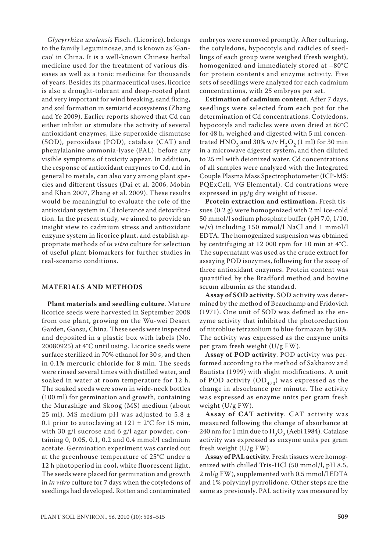*Glycyrrhiza uralensis* Fisch. (Licorice), belongs to the family Leguminosae, and is known as 'Gancao' in China. It is a well-known Chinese herbal medicine used for the treatment of various diseases as well as a tonic medicine for thousands of years. Besides its pharmaceutical uses, licorice is also a drought-tolerant and deep-rooted plant and very important for wind breaking, sand fixing, and soil formation in semiarid ecosystems (Zhang and Ye 2009). Earlier reports showed that Cd can either inhibit or stimulate the activity of several antioxidant enzymes, like superoxide dismutase (SOD), peroxidase (POD), catalase (CAT) and phenylalanine ammonia-lyase (PAL), before any visible symptoms of toxicity appear. In addition, the response of antioxidant enzymes to Cd, and in general to metals, can also vary among plant species and different tissues (Dai et al. 2006, Mobin and Khan 2007, Zhang et al. 2009). These results would be meaningful to evaluate the role of the antioxidant system in Cd tolerance and detoxification. In the present study, we aimed to provide an insight view to cadmium stress and antioxidant enzyme system in licorice plant, and establish appropriate methods of *in vitro* culture for selection of useful plant biomarkers for further studies in real-scenario conditions.

### **MATERIALS AND METHODS**

**Plant materials and seedling culture**. Mature licorice seeds were harvested in September 2008 from one plant, growing on the Wu-wei Desert Garden, Gansu, China. These seeds were inspected and deposited in a plastic box with labels (No. 20080925) at 4°C until using. Licorice seeds were surface sterilized in 70% ethanol for 30 s, and then in 0.1% mercuric chloride for 8 min. The seeds were rinsed several times with distilled water, and soaked in water at room temperature for 12 h. The soaked seeds were sown in wide-neck bottles (100 ml) for germination and growth, containing the Murashige and Skoog (MS) medium (about 25 ml). MS medium pH was adjusted to  $5.8 \pm$ 0.1 prior to autoclaving at  $121 \pm 2$ °C for 15 min, with 30 g/l sucrose and 6 g/l agar powder, containing 0, 0.05, 0.1, 0.2 and 0.4 mmol/l cadmium acetate. Germination experiment was carried out at the greenhouse temperature of 25°C under a 12 h photoperiod in cool, white fluorescent light. The seeds were placed for germination and growth in *in vitro* culture for 7 days when the cotyledons of seedlings had developed. Rotten and contaminated

embryos were removed promptly. After culturing, the cotyledons, hypocotyls and radicles of seedlings of each group were weighed (fresh weight), homogenized and immediately stored at –80°C for protein contents and enzyme activity. Five sets of seedlings were analyzed for each cadmium concentrations, with 25 embryos per set.

**Estimation of cadmium content**. After 7 days, seedlings were selected from each pot for the determination of Cd concentrations. Cotyledons, hypocotyls and radicles were oven dried at 60°C for 48 h, weighed and digested with 5 ml concentrated HNO<sub>3</sub> and 30% w/v H<sub>2</sub>O<sub>2</sub> (1 ml) for 30 min in a microwave digester system, and then diluted to 25 ml with deionized water. Cd concentrations of all samples were analyzed with the Integrated Couple Plasma Mass Spectrophotometer (ICP-MS: PQExCell, VG Elemental). Cd contrations were expressed in μg/g dry weight of tissue.

**Protein extraction and estimation.** Fresh tissues (0.2 g) were homogenized with 2 ml ice-cold 50 mmol/l sodium phosphate buffer (pH 7.0, 1/10, w/v) including 150 mmol/l NaCl and 1 mmol/l EDTA. The homogenized suspension was obtained by centrifuging at 12 000 rpm for 10 min at 4°C. The supernatant was used as the crude extract for assaying POD isozymes, following for the assay of three antioxidant enzymes. Protein content was quantified by the Bradford method and bovine serum albumin as the standard.

**Assay of SOD activity**. SOD activity was determined by the method of Beauchamp and Fridovich (1971). One unit of SOD was defined as the enzyme activity that inhibited the photoreduction of nitroblue tetrazolium to blue formazan by 50%. The activity was expressed as the enzyme units per gram fresh weight (U/g FW).

**Assay of POD activity**. POD activity was performed according to the method of Sakharov and Bautista (1999) with slight modifications. A unit of POD activity  $OD_{470}$  was expressed as the change in absorbance per minute. The activity was expressed as enzyme units per gram fresh weight (U/g FW).

**Assay of CAT activity**. CAT activity was measured following the change of absorbance at 240 nm for 1 min due to  $H_2O_2$  (Aebi 1984). Catalase activity was expressed as enzyme units per gram fresh weight (U/g FW).

**Assay of PAL activity**. Fresh tissues were homogenized with chilled Tris-HCl (50 mmol/l, pH 8.5, 2 ml/g FW), supplemented with 0.5 mmol/l EDTA and 1% polyvinyl pyrrolidone. Other steps are the same as previously. PAL activity was measured by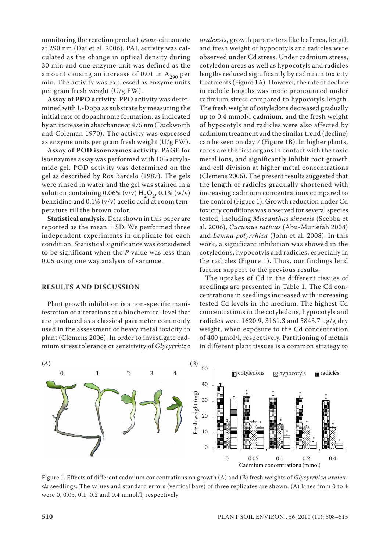monitoring the reaction product *trans*-cinnamate at 290 nm (Dai et al. 2006). PAL activity was calculated as the change in optical density during 30 min and one enzyme unit was defined as the amount causing an increase of 0.01 in  $A_{290}$  per min. The activity was expressed as enzyme units per gram fresh weight (U/g FW).

**Assay of PPO activity**. PPO activity was determined with L-Dopa as substrate by measuring the initial rate of dopachrome formation, as indicated by an increase in absorbance at 475 nm (Duckworth and Coleman 1970). The activity was expressed as enzyme units per gram fresh weight (U/g FW).

**Assay of POD isoenzymes activity**. PAGE for isoenzymes assay was performed with 10% acrylamide gel. POD activity was determined on the gel as described by Ros Barcelo (1987). The gels were rinsed in water and the gel was stained in a solution containing 0.06% (v/v)  $H_2O_2$ , 0.1% (w/v) benzidine and 0.1% (v/v) acetic acid at room temperature till the brown color.

**Statistical analysis**. Data shown in this paper are reported as the mean  $\pm$  SD. We performed three independent experiments in duplicate for each condition. Statistical significance was considered to be significant when the *P* value was less than 0.05 using one way analysis of variance.

## **RESULTS AND DISCUSSION**

Plant growth inhibition is a non-specific manifestation of alterations at a biochemical level that are produced as a classical parameter commonly used in the assessment of heavy metal toxicity to plant (Clemens 2006). In order to investigate cadmium stress tolerance or sensitivity of *Glycyrrhiza* 

*uralensis*, growth parameters like leaf area, length and fresh weight of hypocotyls and radicles were observed under Cd stress. Under cadmium stress, cotyledon areas as well as hypocotyls and radicles lengths reduced significantly by cadmium toxicity treatments (Figure 1A). However, the rate of decline in radicle lengths was more pronounced under cadmium stress compared to hypocotyls length. The fresh weight of cotyledons decreased gradually up to 0.4 mmol/l cadmium, and the fresh weight of hypocotyls and radicles were also affected by cadmium treatment and the similar trend (decline) can be seen on day 7 (Figure 1B). In higher plants, roots are the first organs in contact with the toxic metal ions, and significantly inhibit root growth and cell division at higher metal concentrations (Clemens 2006). The present results suggested that the length of radicles gradually shortened with increasing cadmium concentrations compared to the control (Figure 1). Growth reduction under Cd toxicity conditions was observed for several species tested, including *Miscanthus sinensis* (Scebba et al. 2006), *Cucumus sativus* (Abu-Muriefah 2008) and *Lemna polyrrhiza* (John et al. 2008). In this work, a significant inhibition was showed in the cotyledons, hypocotyls and radicles, especially in the radicles (Figure 1). Thus, our findings lend further support to the previous results.

The uptakes of Cd in the different tissues of seedlings are presented in Table 1. The Cd concentrations in seedlings increased with increasing tested Cd levels in the medium. The highest Cd concentrations in the cotyledons, hypocotyls and radicles were 1620.9, 3161.3 and 5843.7 μg/g dry weight, when exposure to the Cd concentration of 400 μmol/l, respectively. Partitioning of metals in different plant tissues is a common strategy to



Figure 1. Effects of different cadmium concentrations on growth (A) and (B) fresh weights of *Glycyrrhiza uralensis* seedlings. The values and standard errors (vertical bars) of three replicates are shown. (A) lanes from 0 to 4 were 0, 0.05, 0.1, 0.2 and 0.4 mmol/l, respectively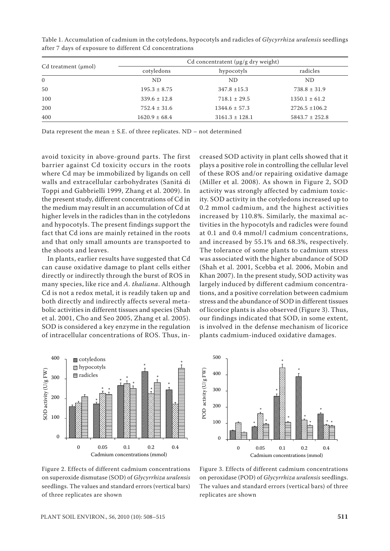| $Cd$ treatment ( $\mu$ mol) | Cd concentratent $(\mu g/g \, dry \, weight)$ |                    |                    |
|-----------------------------|-----------------------------------------------|--------------------|--------------------|
|                             | cotyledons                                    | hypocotyls         | radicles           |
| $\Omega$                    | ND.                                           | ND.                | N <sub>D</sub>     |
| 50                          | $195.3 \pm 8.75$                              | $347.8 \pm 15.3$   | $738.8 \pm 31.9$   |
| 100                         | $339.6 \pm 12.8$                              | $718.1 \pm 29.5$   | $1350.1 \pm 61.2$  |
| 200                         | $752.4 \pm 31.6$                              | $1344.6 \pm 57.3$  | $2726.5 \pm 106.2$ |
| 400                         | $1620.9 \pm 68.4$                             | $3161.3 \pm 128.1$ | $5843.7 \pm 252.8$ |

Table 1. Accumulation of cadmium in the cotyledons, hypocotyls and radicles of *Glycyrrhiza uralensis* seedlings after 7 days of exposure to different Cd concentrations

Data represent the mean  $\pm$  S.E. of three replicates. ND – not determined

avoid toxicity in above-ground parts. The first barrier against Cd toxicity occurs in the roots where Cd may be immobilized by ligands on cell walls and extracellular carbohydrates (Sanitá di Toppi and Gabbrielli 1999, Zhang et al. 2009). In the present study, different concentrations of Cd in the medium may result in an accumulation of Cd at higher levels in the radicles than in the cotyledons and hypocotyls. The present findings support the fact that Cd ions are mainly retained in the roots and that only small amounts are transported to the shoots and leaves.

In plants, earlier results have suggested that Cd can cause oxidative damage to plant cells either directly or indirectly through the burst of ROS in many species, like rice and *A. thaliana*. Although Cd is not a redox metal, it is readily taken up and both directly and indirectly affects several metabolic activities in different tissues and species (Shah et al. 2001, Cho and Seo 2005, Zhang et al. 2005). SOD is considered a key enzyme in the regulation of intracellular concentrations of ROS. Thus, in-

creased SOD activity in plant cells showed that it plays a positive role in controlling the cellular level of these ROS and/or repairing oxidative damage (Miller et al. 2008). As shown in Figure 2, SOD activity was strongly affected by cadmium toxicity. SOD activity in the cotyledons increased up to 0.2 mmol cadmium, and the highest activities increased by 110.8%. Similarly, the maximal activities in the hypocotyls and radicles were found at 0.1 and 0.4 mmol/l cadmium concentrations, and increased by 55.1% and 68.3%, respectively. The tolerance of some plants to cadmium stress was associated with the higher abundance of SOD (Shah et al. 2001, Scebba et al. 2006, Mobin and Khan 2007). In the present study, SOD activity was largely induced by different cadmium concentrations, and a positive correlation between cadmium stress and the abundance of SOD in different tissues of licorice plants is also observed (Figure 3). Thus, our findings indicated that SOD, in some extent, is involved in the defense mechanism of licorice plants cadmium-induced oxidative damages.





Figure 2. Effects of different cadmium concentrations on superoxide dismutase (SOD) of *Glycyrrhiza uralensis* seedlings. The values and standard errors (vertical bars) of three replicates are shown

Figure 3. Effects of different cadmium concentrations on peroxidase (POD) of *Glycyrrhiza uralensis* seedlings. The values and standard errors (vertical bars) of three replicates are shown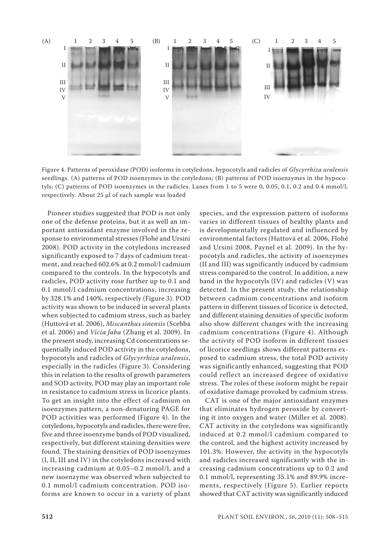

Figure 4. Patterns of peroxidase (POD) isoforms in cotyledons, hypocotyls and radicles of *Glycyrrhiza uralensis*  seedlings. (A) patterns of POD isoenzymes in the cotyledons; (B) patterns of POD isoenzymes in the hypocotyls; (C) patterns of POD isoenzymes in the radicles. Lanes from 1 to 5 were 0, 0.05, 0.1, 0.2 and 0.4 mmol/l, respectively. About 25 μl of each sample was loaded

Pioneer studies suggested that POD is not only one of the defense proteins, but it as well an important antioxidant enzyme involved in the response to environmental stresses (Flohé and Ursini 2008). POD activity in the cotyledons increased significantly exposed to 7 days of cadmium treatment, and reached 602.6% at 0.2 mmol/l cadmium compared to the controls. In the hypocotyls and radicles, POD activity rose further up to 0.1 and 0.1 mmol/l cadmium concentrations, increasing by 328.1% and 140%, respectively (Figure 3). POD activity was shown to be induced in several plants when subjected to cadmium stress, such as barley (Huttová et al. 2006), *Miscanthus sinensis* (Scebba et al. 2006) and *Vicia faba* (Zhang et al. 2009). In the present study, increasing Cd concentrations sequentially induced POD activity in the cotyledons, hypocotyls and radicles of *Glycyrrhiza uralensis*, especially in the radicles (Figure 3). Considering this in relation to the results of growth parameters and SOD activity, POD may play an important role in resistance to cadmium stress in licorice plants. To get an insight into the effect of cadmium on isoenzymes pattern, a non-denaturing PAGE for POD activities was performed (Figure 4). In the cotyledons, hypocotyls and radicles, there were five, five and three isoenzyme bands of POD visualized, respectively, but different staining densities were found. The staining densities of POD isoenzymes (I, II, III and IV) in the cotyledons increased with increasing cadmium at 0.05–0.2 mmol/l, and a new isoenzyme was observed when subjected to 0.1 mmol/l cadmium concentration. POD isoforms are known to occur in a variety of plant

species, and the expression pattern of isoforms varies in different tissues of healthy plants and is developmentally regulated and influenced by environmental factors (Huttová et al. 2006, Flohé and Ursini 2008, Paynel et al. 2009). In the hypocotyls and radicles, the activity of isoenzymes (II and III) was significantly induced by cadmium stress compared to the control. In addition, a new band in the hypocotyls (IV) and radicles (V) was detected. In the present study, the relationship between cadmium concentrations and isoform pattern in different tissues of licorice is detected, and different staining densities of specific isoform also show different changes with the increasing cadmium concentrations (Figure 4). Although the activity of POD isoform in different tissues of licorice seedlings shows different patterns exposed to cadmium stress, the total POD activity was significantly enhanced, suggesting that POD could reflect an increased degree of oxidative stress. The roles of these isoform might be repair of oxidative damage provoked by cadmium stress.

CAT is one of the major antioxidant enzymes that eliminates hydrogen peroxide by converting it into oxygen and water (Miller et al. 2008). CAT activity in the cotyledons was significantly induced at 0.2 mmol/l cadmium compared to the control, and the highest activity increased by 101.3%. However, the activity in the hypocotyls and radicles increased significantly with the increasing cadmium concentrations up to 0.2 and 0.1 mmol/l, representing 35.1% and 89.9% increments, respectively (Figure 5). Earlier reports showed that CAT activity was significantly induced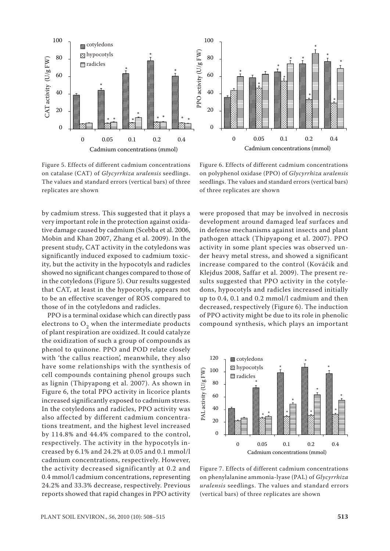

Figure 5. Effects of different cadmium concentrations on catalase (CAT) of *Glycyrrhiza uralensis* seedlings. The values and standard errors (vertical bars) of three replicates are shown

by cadmium stress. This suggested that it plays a very important role in the protection against oxidative damage caused by cadmium (Scebba et al. 2006, Mobin and Khan 2007, Zhang et al. 2009). In the present study, CAT activity in the cotyledons was significantly induced exposed to cadmium toxicity, but the activity in the hypocotyls and radicles showed no significant changes compared to those of in the cotyledons (Figure 5). Our results suggested that CAT, at least in the hypocotyls, appears not to be an effective scavenger of ROS compared to those of in the cotyledons and radicles.

PPO is a terminal oxidase which can directly pass electrons to  $O<sub>2</sub>$  when the intermediate products of plant respiration are oxidized. It could catalyze the oxidization of such a group of compounds as phenol to quinone. PPO and POD relate closely with 'the callus reaction', meanwhile, they also have some relationships with the synthesis of cell compounds containing phenol groups such as lignin (Thipyapong et al. 2007). As shown in Figure 6, the total PPO activity in licorice plants increased significantly exposed to cadmium stress. In the cotyledons and radicles, PPO activity was also affected by different cadmium concentrations treatment, and the highest level increased by 114.8% and 44.4% compared to the control, respectively. The activity in the hypocotyls increased by 6.1% and 24.2% at 0.05 and 0.1 mmol/l cadmium concentrations, respectively. However, the activity decreased significantly at 0.2 and 0.4 mmol/l cadmium concentrations, representing 24.2% and 33.3% decrease, respectively. Previous reports showed that rapid changes in PPO activity

Figure 6. Effects of different cadmium concentrations on polyphenol oxidase (PPO) of *Glycyrrhiza uralensis* seedlings. The values and standard errors (vertical bars) of three replicates are shown

were proposed that may be involved in necrosis development around damaged leaf surfaces and in defense mechanisms against insects and plant pathogen attack (Thipyapong et al. 2007). PPO activity in some plant species was observed under heavy metal stress, and showed a significant increase compared to the control (Kováčik and Klejdus 2008, Saffar et al. 2009). The present results suggested that PPO activity in the cotyledons, hypocotyls and radicles increased initially up to 0.4, 0.1 and 0.2 mmol/l cadmium and then decreased, respectively (Figure 6). The induction of PPO activity might be due to its role in phenolic compound synthesis, which plays an important



Figure 7. Effects of different cadmium concentrations on phenylalanine ammonia-lyase (PAL) of *Glycyrrhiza uralensis* seedlings. The values and standard errors (vertical bars) of three replicates are shown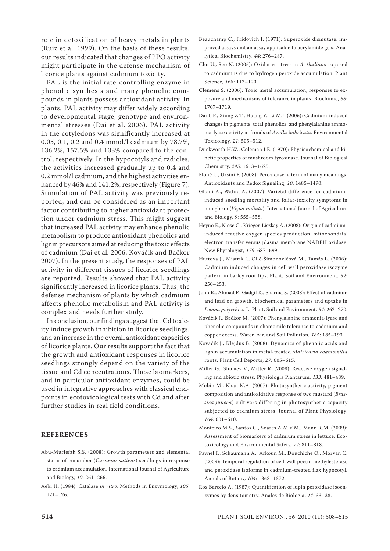role in detoxification of heavy metals in plants (Ruiz et al*.* 1999). On the basis of these results, our results indicated that changes of PPO activity might participate in the defense mechanism of licorice plants against cadmium toxicity.

PAL is the initial rate-controlling enzyme in phenolic synthesis and many phenolic compounds in plants possess antioxidant activity. In plants, PAL activity may differ widely according to developmental stage, genotype and environmental stresses (Dai et al. 2006). PAL activity in the cotyledons was significantly increased at 0.05, 0.1, 0.2 and 0.4 mmol/l cadmium by 78.7%, 136.2%, 157.5% and 133% compared to the control, respectively. In the hypocotyls and radicles, the activities increased gradually up to 0.4 and 0.2 mmol/l cadmium, and the highest activities enhanced by 46% and 141.2%, respectively (Figure 7). Stimulation of PAL activity was previously reported, and can be considered as an important factor contributing to higher antioxidant protection under cadmium stress. This might suggest that increased PAL activity may enhance phenolic metabolism to produce antioxidant phenolics and lignin precursors aimed at reducing the toxic effects of cadmium (Dai et al*.* 2006, Kováčik and Bačkor 2007). In the present study, the responses of PAL activity in different tissues of licorice seedlings are reported. Results showed that PAL activity significantly increased in licorice plants. Thus, the defense mechanism of plants by which cadmium affects phenolic metabolism and PAL activity is complex and needs further study.

In conclusion, our findings suggest that Cd toxicity induce growth inhibition in licorice seedlings, and an increase in the overall antioxidant capacities of licorice plants. Our results support the fact that the growth and antioxidant responses in licorice seedlings strongly depend on the variety of the tissue and Cd concentrations. These biomarkers, and in particular antioxidant enzymes, could be used in integrative approaches with classical endpoints in ecotoxicological tests with Cd and after further studies in real field conditions.

#### **REFERENCES**

- Abu-Muriefah S.S. (2008): Growth parameters and elemental status of cucumber (*Cucumus sativus*) seedlings in response to cadmium accumulation. International Journal of Agriculture and Biology, *10*: 261–266.
- Aebi H. (1984): Catalase *in vitro*. Methods in Enzymology, *105*: 121–126.
- Beauchamp C., Fridovich I. (1971): Superoxide dismutase: improved assays and an assay applicable to acrylamide gels. Analytical Biochemistry, *44*: 276–287.
- Cho U., Seo N. (2005): Oxidative stress in *A. thaliana* exposed to cadmium is due to hydrogen peroxide accumulation. Plant Science, *168*: 113–120.
- Clemens S. (2006): Toxic metal accumulation, responses to exposure and mechanisms of tolerance in plants. Biochimie, *88*: 1707–1719.
- Dai L.P., Xiong Z.T., Huang Y., Li M.J. (2006): Cadmium-induced changes in pigments, total phenolics, and phenylalanine ammonia-lyase activity in fronds of *Azolla imbricata*. Environmental Toxicology, *21*: 505–512.
- Duckworth H.W., Coleman J.E. (1970): Physicochemical and kinetic properties of mushroom tyrosinase. Journal of Biological Chemistry, *245*: 1613–1625.
- Flohé L., Ursini F. (2008): Peroxidase: a term of many meanings. Antioxidants and Redox Signaling, *10*: 1485–1490.
- Ghani A., Wahid A. (2007): Varietal difference for cadmiuminduced seedling mortality and foliar-toxicity symptoms in mungbean (*Vigna radiata*). International Journal of Agriculture and Biology, *9*: 555–558.
- Heyno E., Klose C., Krieger-Liszkay A. (2008): Origin of cadmiuminduced reactive oxygen species production: mitochondrial electron transfer versus plasma membrane NADPH oxidase. New Phytologist, *179*: 687–699.
- Huttová J., Mistrík I., Ollé-Šimonovičová M., Tamás L. (2006): Cadmium induced changes in cell wall peroxidase isozyme pattern in barley root tips. Plant, Soil and Environment, *52*: 250–253.
- John R., Ahmad P., Gadgil K., Sharma S. (2008): Effect of cadmium and lead on growth, biochemical parameters and uptake in *Lemna polyrrhiza* L. Plant, Soil and Environment, *54*: 262–270.
- Kováčik J., Bačkor M. (2007): Phenylalanine ammonia-lyase and phenolic compounds in chamomile tolerance to cadmium and copper excess. Water, Air, and Soil Pollution, *185*: 185–193.
- Kováčik J., Klejdus B. (2008): Dynamics of phenolic acids and lignin accumulation in metal-treated *Matricaria chamomilla* roots. Plant Cell Reports, *27*: 605–615.
- Miller G., Shulaev V., Mitter R. (2008): Reactive oxygen signaling and abiotic stress. Physiologia Plantarum, *133*: 481–489.
- Mobin M., Khan N.A. (2007): Photosynthetic activity, pigment composition and antioxidative response of two mustard (*Brassica juncea*) cultivars differing in photosynthetic capacity subjected to cadmium stress. Journal of Plant Physiology, *164*: 601–610.
- Monteiro M.S., Santos C., Soares A.M.V.M., Mann R.M. (2009): Assessment of biomarkers of cadmium stress in lettuce. Ecotoxicology and Environmental Safety, *72*: 811–818.
- Paynel F., Schaumann A., Arkoun M., Douchiche O., Morvan C. (2009): Temporal regulation of cell-wall pectin methylesterase and peroxidase isoforms in cadmium-treated flax hypocotyl. Annals of Botany, *104*: 1363–1372.
- Ros Barcelo A. (1987): Quantification of lupin peroxidase isoenzymes by densitometry. Anales de Biologia, *14*: 33–38.